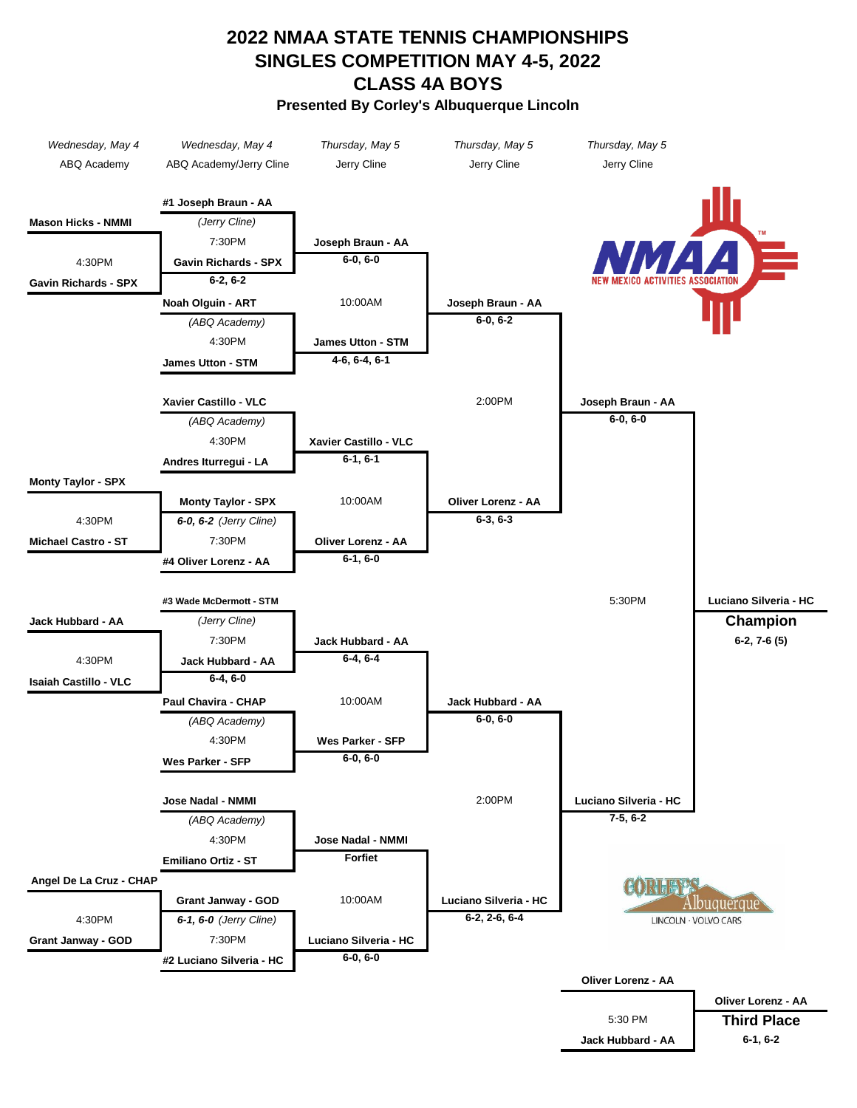## **2022 NMAA STATE TENNIS CHAMPIONSHIPS SINGLES COMPETITION MAY 4-5, 2022 CLASS 4A BOYS Presented By Corley's Albuquerque Lincoln**

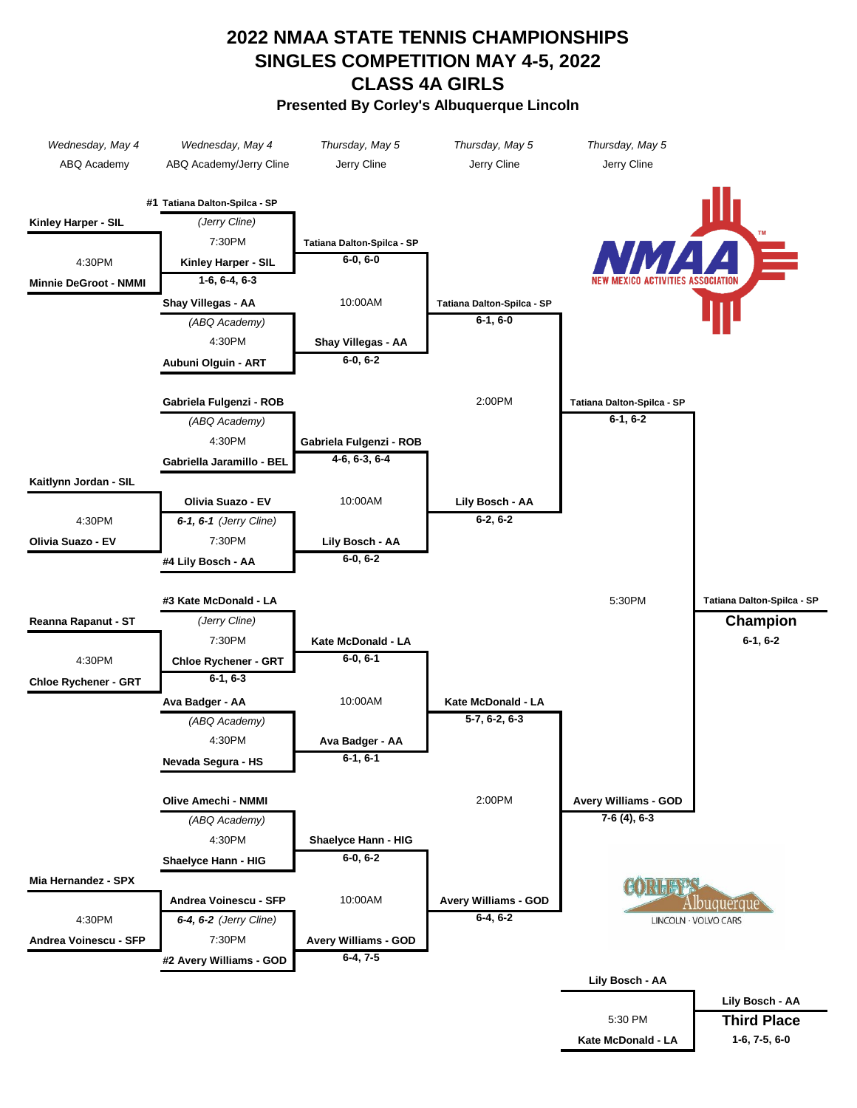## **2022 NMAA STATE TENNIS CHAMPIONSHIPS SINGLES COMPETITION MAY 4-5, 2022 CLASS 4A GIRLS Presented By Corley's Albuquerque Lincoln**

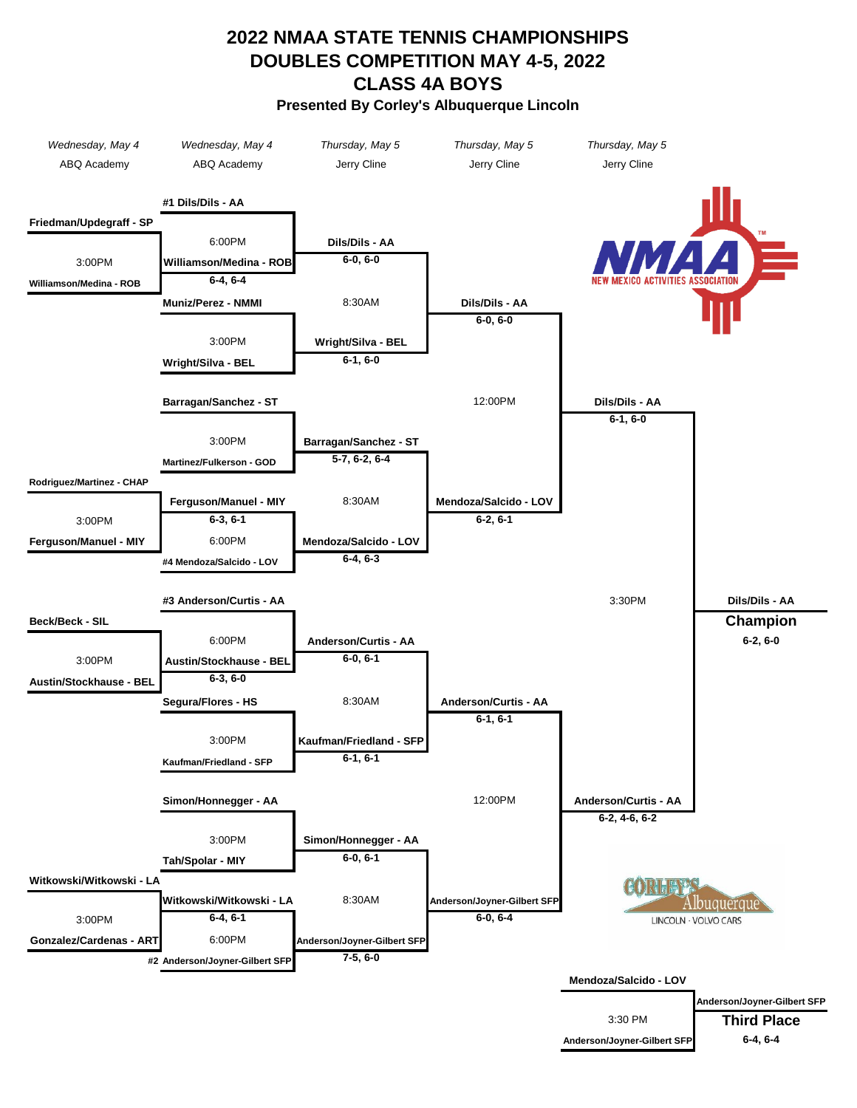## **Presented By Corley's Albuquerque Lincoln DOUBLES COMPETITION MAY 4-5, 2022 CLASS 4A BOYS 2022 NMAA STATE TENNIS CHAMPIONSHIPS**